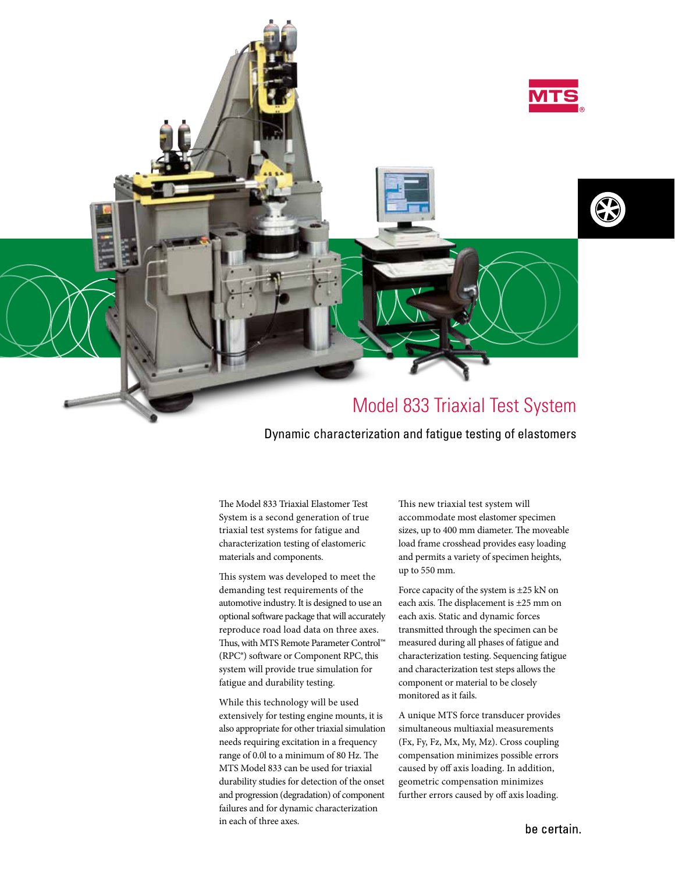

## Dynamic characterization and fatigue testing of elastomers

The Model 833 Triaxial Elastomer Test System is a second generation of true triaxial test systems for fatigue and characterization testing of elastomeric materials and components.

This system was developed to meet the demanding test requirements of the automotive industry. It is designed to use an optional software package that will accurately reproduce road load data on three axes. Thus, with MTS Remote Parameter Control™ (RPC®) software or Component RPC, this system will provide true simulation for fatigue and durability testing.

While this technology will be used extensively for testing engine mounts, it is also appropriate for other triaxial simulation needs requiring excitation in a frequency range of 0.0l to a minimum of 80 Hz. The MTS Model 833 can be used for triaxial durability studies for detection of the onset and progression (degradation) of component failures and for dynamic characterization in each of three axes.

This new triaxial test system will accommodate most elastomer specimen sizes, up to 400 mm diameter. The moveable load frame crosshead provides easy loading and permits a variety of specimen heights, up to 550 mm.

Force capacity of the system is ±25 kN on each axis. The displacement is ±25 mm on each axis. Static and dynamic forces transmitted through the specimen can be measured during all phases of fatigue and characterization testing. Sequencing fatigue and characterization test steps allows the component or material to be closely monitored as it fails.

A unique MTS force transducer provides simultaneous multiaxial measurements (Fx, Fy, Fz, Mx, My, Mz). Cross coupling compensation minimizes possible errors caused by off axis loading. In addition, geometric compensation minimizes further errors caused by off axis loading.